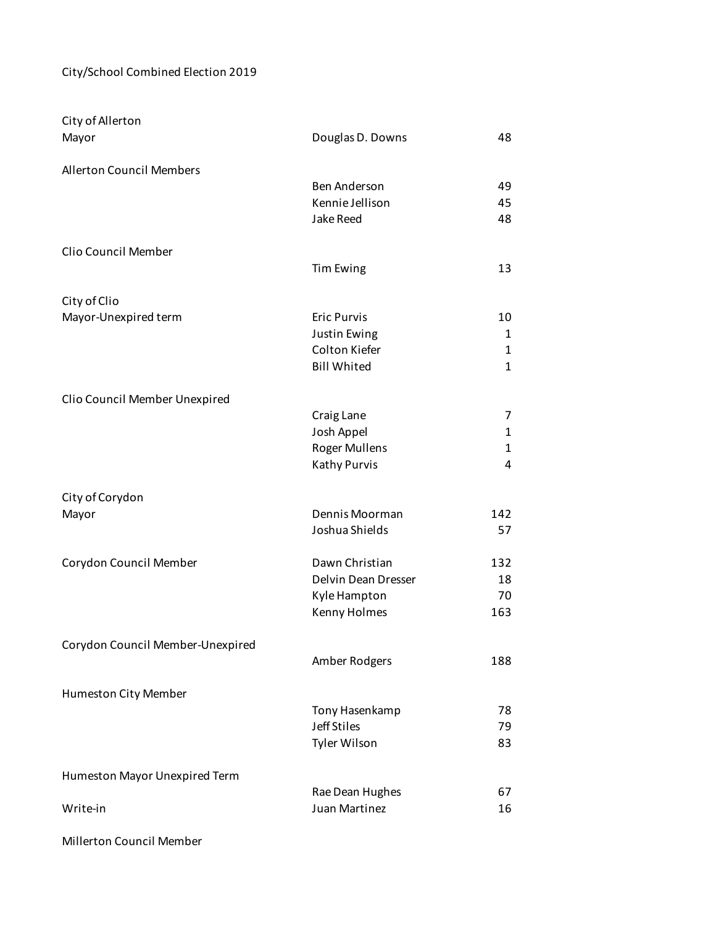## City/School Combined Election 2019

| City of Allerton                 |                                             |              |
|----------------------------------|---------------------------------------------|--------------|
| Mayor                            | Douglas D. Downs                            | 48           |
|                                  |                                             |              |
| <b>Allerton Council Members</b>  |                                             |              |
|                                  | Ben Anderson<br>Kennie Jellison             | 49<br>45     |
|                                  | <b>Jake Reed</b>                            | 48           |
|                                  |                                             |              |
| Clio Council Member              |                                             |              |
|                                  | <b>Tim Ewing</b>                            | 13           |
|                                  |                                             |              |
| City of Clio                     |                                             |              |
| Mayor-Unexpired term             | <b>Eric Purvis</b>                          | 10           |
|                                  | Justin Ewing                                | 1            |
|                                  | Colton Kiefer                               | 1            |
|                                  | <b>Bill Whited</b>                          | $\mathbf{1}$ |
|                                  |                                             |              |
| Clio Council Member Unexpired    |                                             |              |
|                                  | Craig Lane                                  | 7            |
|                                  | Josh Appel                                  | 1            |
|                                  | <b>Roger Mullens</b><br><b>Kathy Purvis</b> | 1<br>4       |
|                                  |                                             |              |
| City of Corydon                  |                                             |              |
| Mayor                            | Dennis Moorman                              | 142          |
|                                  | Joshua Shields                              | 57           |
|                                  |                                             |              |
| Corydon Council Member           | Dawn Christian                              | 132          |
|                                  | Delvin Dean Dresser                         | 18           |
|                                  | Kyle Hampton                                | 70           |
|                                  | Kenny Holmes                                | 163          |
|                                  |                                             |              |
| Corydon Council Member-Unexpired |                                             |              |
|                                  | Amber Rodgers                               | 188          |
|                                  |                                             |              |
| Humeston City Member             |                                             | 78           |
|                                  | Tony Hasenkamp<br><b>Jeff Stiles</b>        | 79           |
|                                  | Tyler Wilson                                | 83           |
|                                  |                                             |              |
| Humeston Mayor Unexpired Term    |                                             |              |
|                                  | Rae Dean Hughes                             | 67           |
| Write-in                         | Juan Martinez                               | 16           |
|                                  |                                             |              |

Millerton Council Member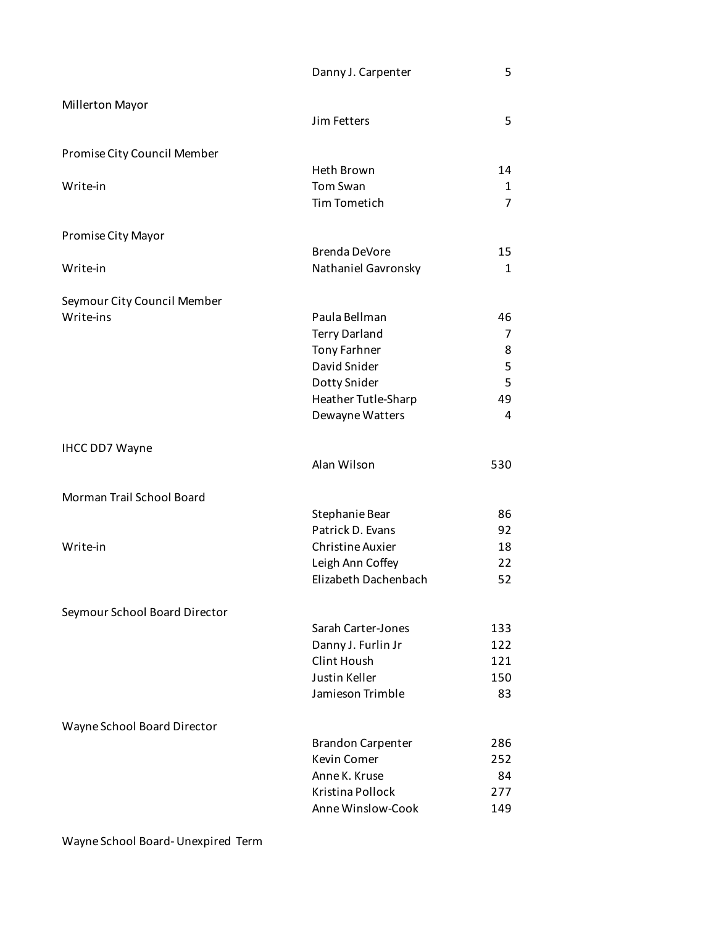| Danny J. Carpenter |  |
|--------------------|--|
|                    |  |

| Millerton Mayor               | Jim Fetters                            | 5                   |
|-------------------------------|----------------------------------------|---------------------|
| Promise City Council Member   |                                        |                     |
|                               | Heth Brown                             | 14                  |
| Write-in                      | Tom Swan<br><b>Tim Tometich</b>        | 1<br>$\overline{7}$ |
| Promise City Mayor            |                                        |                     |
|                               | <b>Brenda DeVore</b>                   | 15                  |
| Write-in                      | Nathaniel Gavronsky                    | 1                   |
| Seymour City Council Member   |                                        |                     |
| Write-ins                     | Paula Bellman                          | 46                  |
|                               | <b>Terry Darland</b>                   | 7                   |
|                               | <b>Tony Farhner</b>                    | 8                   |
|                               | David Snider                           | 5                   |
|                               | Dotty Snider                           | 5<br>49             |
|                               | Heather Tutle-Sharp<br>Dewayne Watters | 4                   |
| <b>IHCC DD7 Wayne</b>         |                                        |                     |
|                               | Alan Wilson                            | 530                 |
| Morman Trail School Board     |                                        |                     |
|                               | Stephanie Bear                         | 86                  |
|                               | Patrick D. Evans                       | 92                  |
| Write-in                      | <b>Christine Auxier</b>                | 18                  |
|                               | Leigh Ann Coffey                       | 22                  |
|                               | Elizabeth Dachenbach                   | 52                  |
| Seymour School Board Director |                                        |                     |
|                               | Sarah Carter-Jones                     | 133                 |
|                               | Danny J. Furlin Jr                     | 122                 |
|                               | Clint Housh                            | 121                 |
|                               | Justin Keller                          | 150                 |
|                               | Jamieson Trimble                       | 83                  |
| Wayne School Board Director   |                                        |                     |
|                               | <b>Brandon Carpenter</b>               | 286                 |
|                               | <b>Kevin Comer</b>                     | 252                 |
|                               | Anne K. Kruse                          | 84                  |
|                               | Kristina Pollock                       | 277                 |
|                               | Anne Winslow-Cook                      | 149                 |

Wayne School Board- Unexpired Term